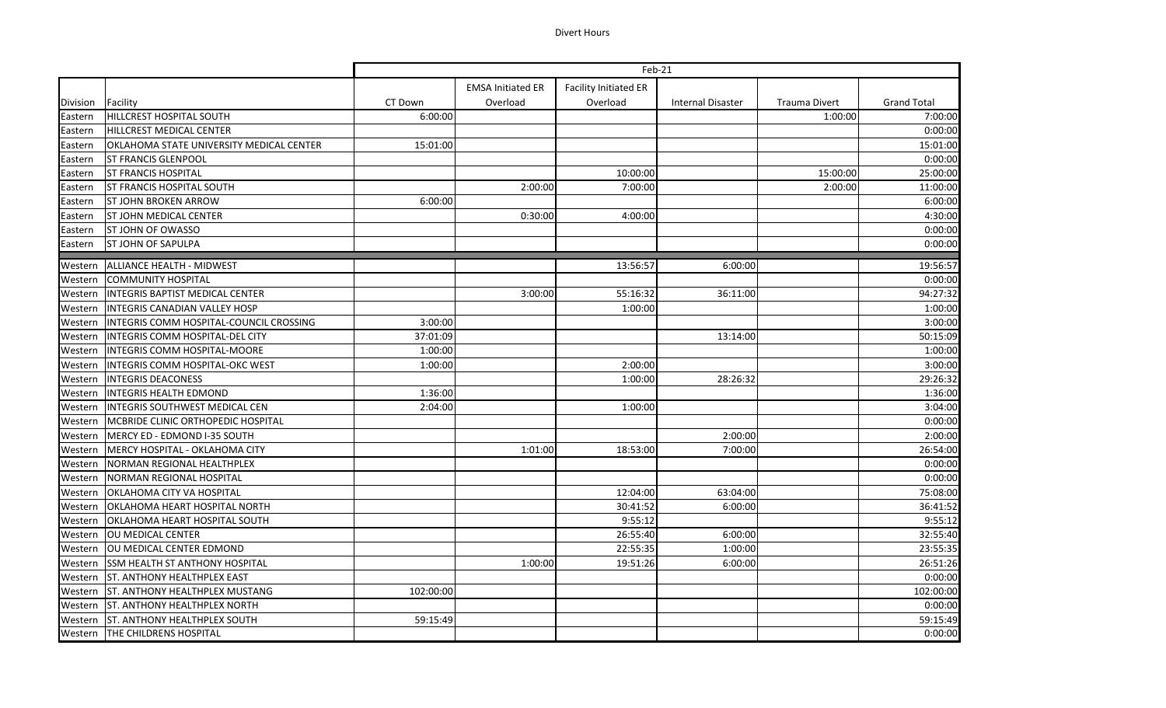## Divert Hours

|          |                                          | Feb-21    |                          |                              |                          |                      |                    |
|----------|------------------------------------------|-----------|--------------------------|------------------------------|--------------------------|----------------------|--------------------|
|          |                                          |           | <b>EMSA Initiated ER</b> | <b>Facility Initiated ER</b> |                          |                      |                    |
| Division | Facility                                 | CT Down   | Overload                 | Overload                     | <b>Internal Disaster</b> | <b>Trauma Divert</b> | <b>Grand Total</b> |
| Eastern  | HILLCREST HOSPITAL SOUTH                 | 6:00:00   |                          |                              |                          | 1:00:00              | 7:00:00            |
| Eastern  | <b>HILLCREST MEDICAL CENTER</b>          |           |                          |                              |                          |                      | 0:00:00            |
| Eastern  | OKLAHOMA STATE UNIVERSITY MEDICAL CENTER | 15:01:00  |                          |                              |                          |                      | 15:01:00           |
| Eastern  | <b>ST FRANCIS GLENPOOL</b>               |           |                          |                              |                          |                      | 0:00:00            |
| Eastern  | <b>ST FRANCIS HOSPITAL</b>               |           |                          | 10:00:00                     |                          | 15:00:00             | 25:00:00           |
| Eastern  | <b>ST FRANCIS HOSPITAL SOUTH</b>         |           | 2:00:00                  | 7:00:00                      |                          | 2:00:00              | 11:00:00           |
| Eastern  | <b>ST JOHN BROKEN ARROW</b>              | 6:00:00   |                          |                              |                          |                      | 6:00:00            |
| Eastern  | <b>ST JOHN MEDICAL CENTER</b>            |           | 0:30:00                  | 4:00:00                      |                          |                      | 4:30:00            |
| Eastern  | ST JOHN OF OWASSO                        |           |                          |                              |                          |                      | 0:00:00            |
| Eastern  | <b>ST JOHN OF SAPULPA</b>                |           |                          |                              |                          |                      | 0:00:00            |
| Western  | ALLIANCE HEALTH - MIDWEST                |           |                          | 13:56:57                     | 6:00:00                  |                      | 19:56:57           |
| Western  | <b>COMMUNITY HOSPITAL</b>                |           |                          |                              |                          |                      | 0:00:00            |
| Western  | INTEGRIS BAPTIST MEDICAL CENTER          |           | 3:00:00                  | 55:16:32                     | 36:11:00                 |                      | 94:27:32           |
| Western  | <b>INTEGRIS CANADIAN VALLEY HOSP</b>     |           |                          | 1:00:00                      |                          |                      | 1:00:00            |
| Western  | INTEGRIS COMM HOSPITAL-COUNCIL CROSSING  | 3:00:00   |                          |                              |                          |                      | 3:00:00            |
| Western  | <b>INTEGRIS COMM HOSPITAL-DEL CITY</b>   | 37:01:09  |                          |                              | 13:14:00                 |                      | 50:15:09           |
| Western  | <b>INTEGRIS COMM HOSPITAL-MOORE</b>      | 1:00:00   |                          |                              |                          |                      | 1:00:00            |
| Western  | INTEGRIS COMM HOSPITAL-OKC WEST          | 1:00:00   |                          | 2:00:00                      |                          |                      | 3:00:00            |
| Western  | <b>INTEGRIS DEACONESS</b>                |           |                          | 1:00:00                      | 28:26:32                 |                      | 29:26:32           |
| Western  | <b>INTEGRIS HEALTH EDMOND</b>            | 1:36:00   |                          |                              |                          |                      | 1:36:00            |
| Western  | <b>INTEGRIS SOUTHWEST MEDICAL CEN</b>    | 2:04:00   |                          | 1:00:00                      |                          |                      | 3:04:00            |
| Western  | MCBRIDE CLINIC ORTHOPEDIC HOSPITAL       |           |                          |                              |                          |                      | 0:00:00            |
| Western  | MERCY ED - EDMOND I-35 SOUTH             |           |                          |                              | 2:00:00                  |                      | 2:00:00            |
| Western  | MERCY HOSPITAL - OKLAHOMA CITY           |           | 1:01:00                  | 18:53:00                     | 7:00:00                  |                      | 26:54:00           |
| Western  | NORMAN REGIONAL HEALTHPLEX               |           |                          |                              |                          |                      | 0:00:00            |
| Western  | NORMAN REGIONAL HOSPITAL                 |           |                          |                              |                          |                      | 0:00:00            |
| Western  | <b>OKLAHOMA CITY VA HOSPITAL</b>         |           |                          | 12:04:00                     | 63:04:00                 |                      | 75:08:00           |
| Western  | OKLAHOMA HEART HOSPITAL NORTH            |           |                          | 30:41:52                     | 6:00:00                  |                      | 36:41:52           |
| Western  | OKLAHOMA HEART HOSPITAL SOUTH            |           |                          | 9:55:12                      |                          |                      | 9:55:12            |
| Western  | <b>OU MEDICAL CENTER</b>                 |           |                          | 26:55:40                     | 6:00:00                  |                      | 32:55:40           |
| Western  | OU MEDICAL CENTER EDMOND                 |           |                          | 22:55:35                     | 1:00:00                  |                      | 23:55:35           |
| Western  | <b>SSM HEALTH ST ANTHONY HOSPITAL</b>    |           | 1:00:00                  | 19:51:26                     | 6:00:00                  |                      | 26:51:26           |
| Western  | <b>ST. ANTHONY HEALTHPLEX EAST</b>       |           |                          |                              |                          |                      | 0:00:00            |
| Western  | <b>ST. ANTHONY HEALTHPLEX MUSTANG</b>    | 102:00:00 |                          |                              |                          |                      | 102:00:00          |
| Western  | <b>ST. ANTHONY HEALTHPLEX NORTH</b>      |           |                          |                              |                          |                      | 0:00:00            |
| Western  | <b>ST. ANTHONY HEALTHPLEX SOUTH</b>      | 59:15:49  |                          |                              |                          |                      | 59:15:49           |
| Western  | <b>THE CHILDRENS HOSPITAL</b>            |           |                          |                              |                          |                      | 0:00:00            |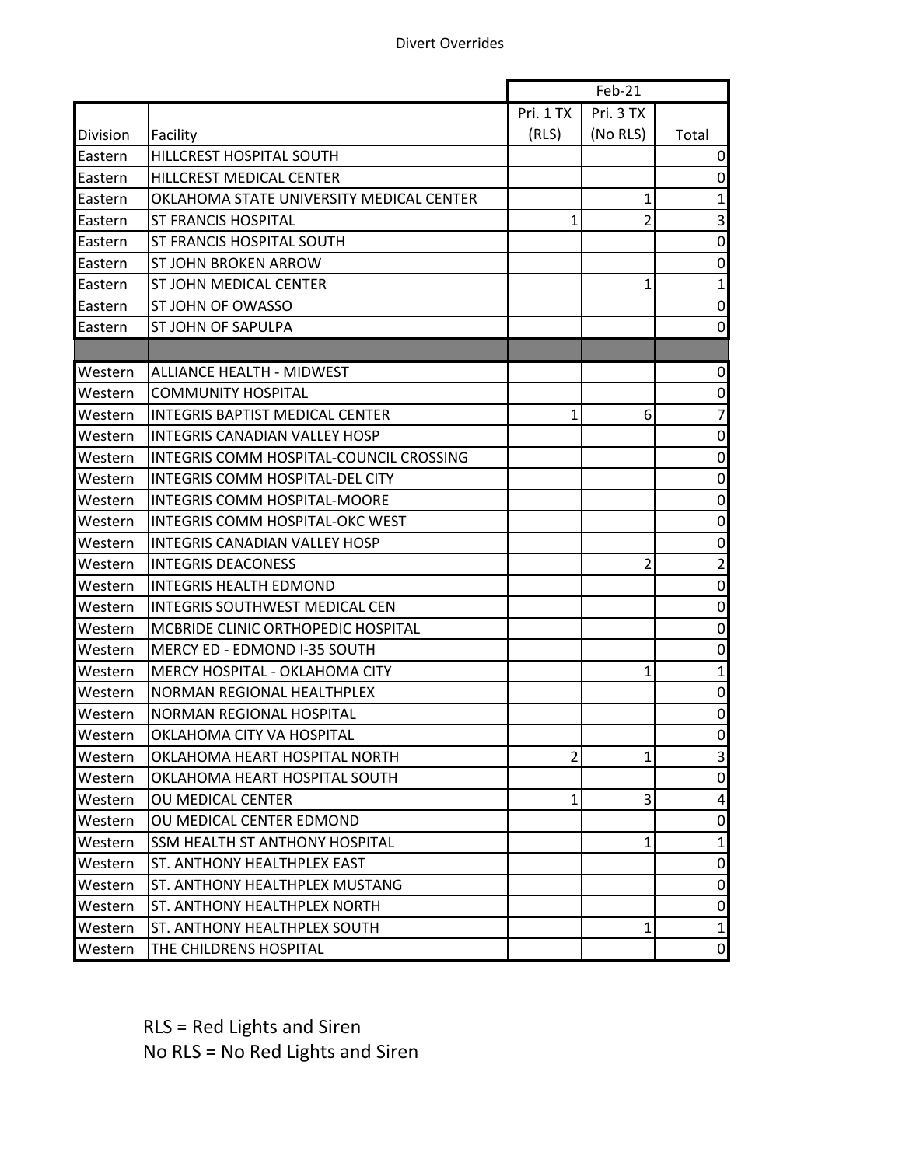|          |                                          | Feb-21         |           |                |
|----------|------------------------------------------|----------------|-----------|----------------|
|          |                                          | Pri. 1 TX      | Pri. 3 TX |                |
| Division | Facility                                 | (RLS)          | (No RLS)  | Total          |
| Eastern  | HILLCREST HOSPITAL SOUTH                 |                |           | 0              |
| Eastern  | HILLCREST MEDICAL CENTER                 |                |           | 0              |
| Eastern  | OKLAHOMA STATE UNIVERSITY MEDICAL CENTER |                | 1         | 1              |
| Eastern  | <b>ST FRANCIS HOSPITAL</b>               | 1              | 2         | 3              |
| Eastern  | ST FRANCIS HOSPITAL SOUTH                |                |           | $\pmb{0}$      |
| Eastern  | ST JOHN BROKEN ARROW                     |                |           | 0              |
| Eastern  | ST JOHN MEDICAL CENTER                   |                | 1         | $\mathbf{1}$   |
| Eastern  | ST JOHN OF OWASSO                        |                |           | 0              |
| Eastern  | <b>ST JOHN OF SAPULPA</b>                |                |           | 0              |
|          |                                          |                |           |                |
| Western  | <b>ALLIANCE HEALTH - MIDWEST</b>         |                |           | $\mathbf 0$    |
| Western  | <b>COMMUNITY HOSPITAL</b>                |                |           | 0              |
| Western  | <b>INTEGRIS BAPTIST MEDICAL CENTER</b>   | 1              | 6         | $\overline{7}$ |
| Western  | <b>INTEGRIS CANADIAN VALLEY HOSP</b>     |                |           | $\pmb{0}$      |
| Western  | INTEGRIS COMM HOSPITAL-COUNCIL CROSSING  |                |           | $\pmb{0}$      |
| Western  | <b>INTEGRIS COMM HOSPITAL-DEL CITY</b>   |                |           | $\pmb{0}$      |
| Western  | INTEGRIS COMM HOSPITAL-MOORE             |                |           | 0              |
| Western  | <b>INTEGRIS COMM HOSPITAL-OKC WEST</b>   |                |           | 0              |
| Western  | <b>INTEGRIS CANADIAN VALLEY HOSP</b>     |                |           | 0              |
| Western  | <b>INTEGRIS DEACONESS</b>                |                | 2         | $\overline{2}$ |
| Western  | <b>INTEGRIS HEALTH EDMOND</b>            |                |           | $\pmb{0}$      |
| Western  | <b>INTEGRIS SOUTHWEST MEDICAL CEN</b>    |                |           | 0              |
| Western  | MCBRIDE CLINIC ORTHOPEDIC HOSPITAL       |                |           | 0              |
| Western  | MERCY ED - EDMOND I-35 SOUTH             |                |           | 0              |
| Western  | <b>MERCY HOSPITAL - OKLAHOMA CITY</b>    |                | 1         | $\mathbf{1}$   |
| Western  | NORMAN REGIONAL HEALTHPLEX               |                |           | 0              |
| Western  | NORMAN REGIONAL HOSPITAL                 |                |           | 0              |
| Western  | OKLAHOMA CITY VA HOSPITAL                |                |           | $\pmb{0}$      |
| Western  | OKLAHOMA HEART HOSPITAL NORTH            | $\overline{2}$ | 1         | 3              |
| Western  | OKLAHOMA HEART HOSPITAL SOUTH            |                |           | 0              |
| Western  | <b>OU MEDICAL CENTER</b>                 | $\mathbf{1}$   | 3         | 4              |
| Western  | OU MEDICAL CENTER EDMOND                 |                |           | 0              |
| Western  | SSM HEALTH ST ANTHONY HOSPITAL           |                | 1         | $\mathbf{1}$   |
| Western  | ST. ANTHONY HEALTHPLEX EAST              |                |           | 0              |
| Western  | ST. ANTHONY HEALTHPLEX MUSTANG           |                |           | 0              |
| Western  | ST. ANTHONY HEALTHPLEX NORTH             |                |           | 0              |
| Western  | ST. ANTHONY HEALTHPLEX SOUTH             |                | 1         | $\mathbf{1}$   |
| Western  | THE CHILDRENS HOSPITAL                   |                |           | $\overline{0}$ |

RLS = Red Lights and Siren No RLS = No Red Lights and Siren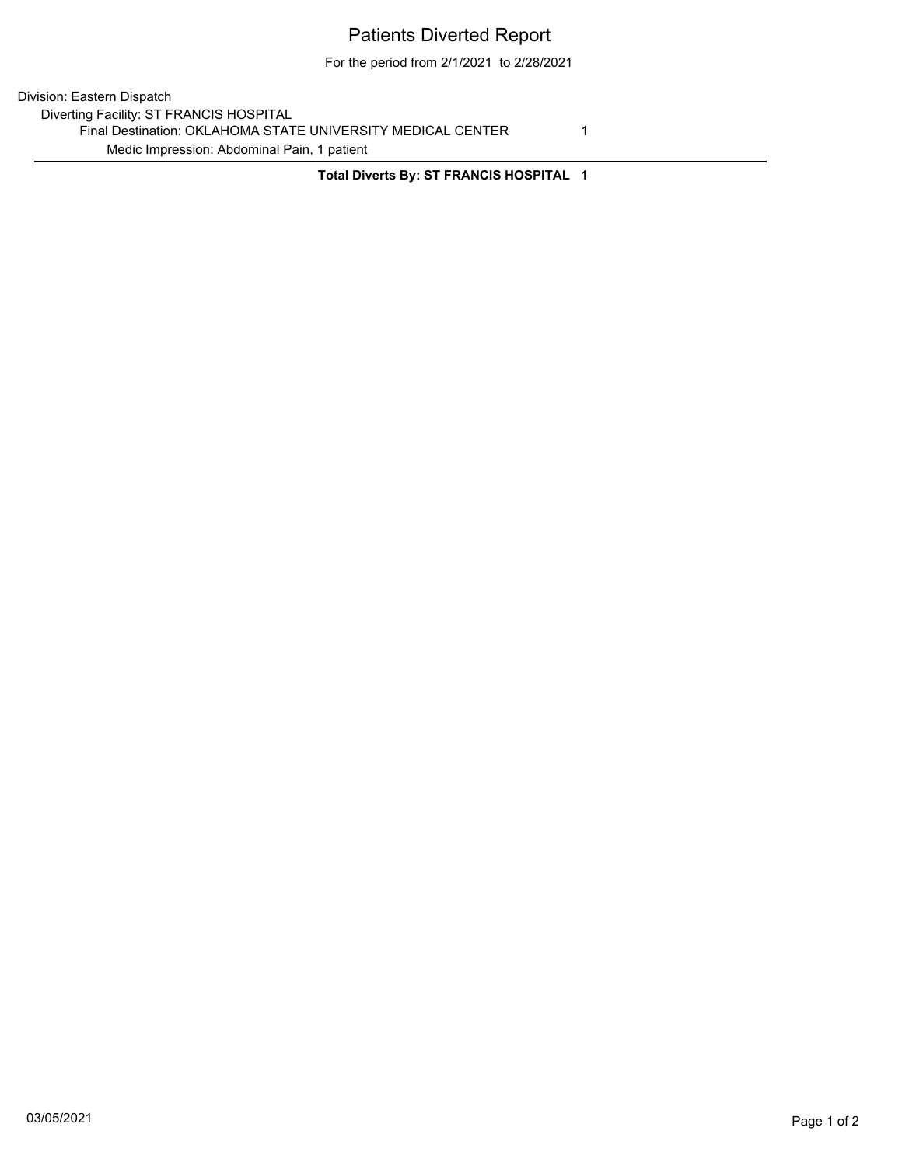## Patients Diverted Report

For the period from 2/1/2021 to 2/28/2021

Division: Eastern Dispatch Diverting Facility: ST FRANCIS HOSPITAL Final Destination: OKLAHOMA STATE UNIVERSITY MEDICAL CENTER 1 Medic Impression: Abdominal Pain, 1 patient

**Total Diverts By: ST FRANCIS HOSPITAL 1**